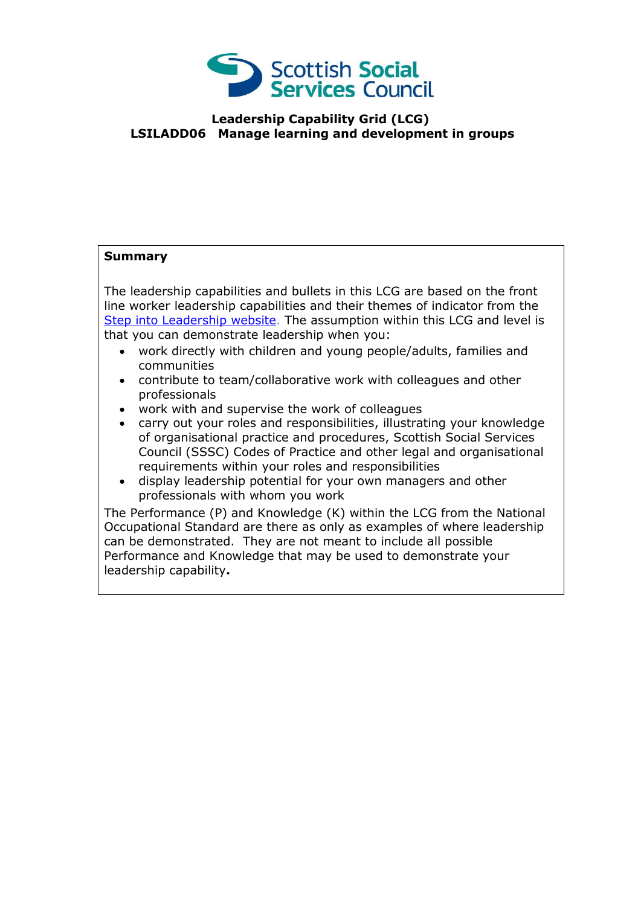

## **Leadership Capability Grid (LCG) LSILADD06 Manage learning and development in groups**

## **Summary**

The leadership capabilities and bullets in this LCG are based on the front line worker leadership capabilities and their themes of indicator from the [Step into Leadership website.](http://www.stepintoleadership.info/) The assumption within this LCG and level is that you can demonstrate leadership when you:

- work directly with children and young people/adults, families and communities
- contribute to team/collaborative work with colleagues and other professionals
- work with and supervise the work of colleagues
- carry out your roles and responsibilities, illustrating your knowledge of organisational practice and procedures, Scottish Social Services Council (SSSC) Codes of Practice and other legal and organisational requirements within your roles and responsibilities
- display leadership potential for your own managers and other professionals with whom you work

The Performance (P) and Knowledge (K) within the LCG from the National Occupational Standard are there as only as examples of where leadership can be demonstrated. They are not meant to include all possible Performance and Knowledge that may be used to demonstrate your leadership capability**.**